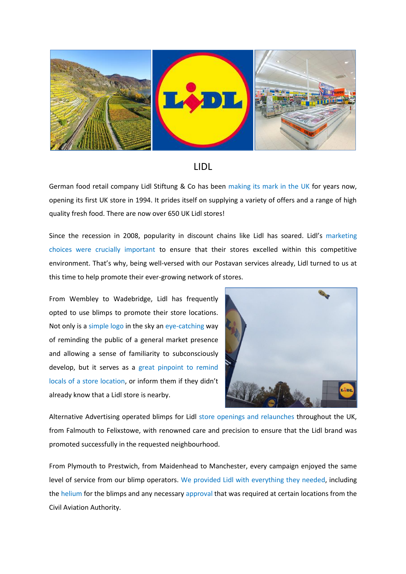

## LIDL

German food retail company Lidl Stiftung & Co has been making its mark in the UK for years now, opening its first UK store in 1994. It prides itself on supplying a variety of offers and a range of high quality fresh food. There are now over 650 UK Lidl stores!

Since the recession in 2008, popularity in discount chains like Lidl has soared. Lidl's marketing choices were crucially important to ensure that their stores excelled within this competitive environment. That's why, being well-versed with our Postavan services already, Lidl turned to us at this time to help promote their ever-growing network of stores.

From Wembley to Wadebridge, Lidl has frequently opted to use blimps to promote their store locations. Not only is a simple logo in the sky an eye-catching way of reminding the public of a general market presence and allowing a sense of familiarity to subconsciously develop, but it serves as a great pinpoint to remind locals of a store location, or inform them if they didn't already know that a Lidl store is nearby.



Alternative Advertising operated blimps for Lidl store openings and relaunches throughout the UK, from Falmouth to Felixstowe, with renowned care and precision to ensure that the Lidl brand was promoted successfully in the requested neighbourhood.

From Plymouth to Prestwich, from Maidenhead to Manchester, every campaign enjoyed the same level of service from our blimp operators. We provided Lidl with everything they needed, including the helium for the blimps and any necessary approval that was required at certain locations from the Civil Aviation Authority.